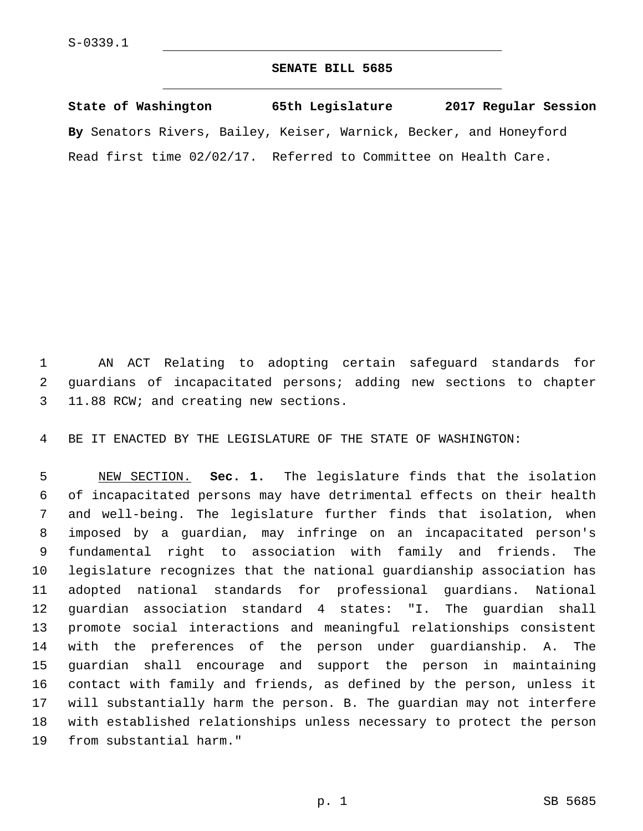## **SENATE BILL 5685**

**State of Washington 65th Legislature 2017 Regular Session By** Senators Rivers, Bailey, Keiser, Warnick, Becker, and Honeyford Read first time 02/02/17. Referred to Committee on Health Care.

 AN ACT Relating to adopting certain safeguard standards for guardians of incapacitated persons; adding new sections to chapter 3 11.88 RCW; and creating new sections.

BE IT ENACTED BY THE LEGISLATURE OF THE STATE OF WASHINGTON:

 NEW SECTION. **Sec. 1.** The legislature finds that the isolation of incapacitated persons may have detrimental effects on their health and well-being. The legislature further finds that isolation, when imposed by a guardian, may infringe on an incapacitated person's fundamental right to association with family and friends. The legislature recognizes that the national guardianship association has adopted national standards for professional guardians. National guardian association standard 4 states: "I. The guardian shall promote social interactions and meaningful relationships consistent with the preferences of the person under guardianship. A. The guardian shall encourage and support the person in maintaining contact with family and friends, as defined by the person, unless it will substantially harm the person. B. The guardian may not interfere with established relationships unless necessary to protect the person from substantial harm."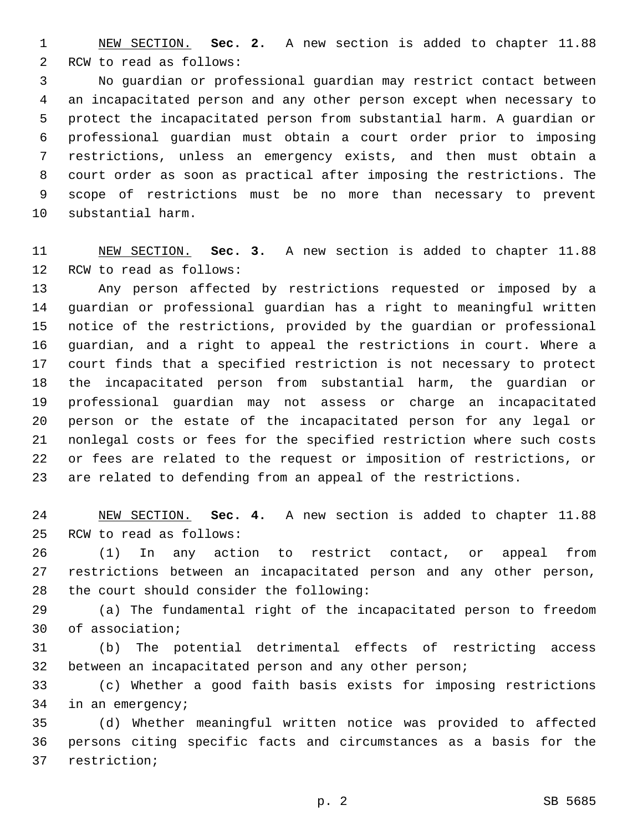NEW SECTION. **Sec. 2.** A new section is added to chapter 11.88 2 RCW to read as follows:

 No guardian or professional guardian may restrict contact between an incapacitated person and any other person except when necessary to protect the incapacitated person from substantial harm. A guardian or professional guardian must obtain a court order prior to imposing restrictions, unless an emergency exists, and then must obtain a court order as soon as practical after imposing the restrictions. The scope of restrictions must be no more than necessary to prevent 10 substantial harm.

 NEW SECTION. **Sec. 3.** A new section is added to chapter 11.88 12 RCW to read as follows:

 Any person affected by restrictions requested or imposed by a guardian or professional guardian has a right to meaningful written notice of the restrictions, provided by the guardian or professional guardian, and a right to appeal the restrictions in court. Where a court finds that a specified restriction is not necessary to protect the incapacitated person from substantial harm, the guardian or professional guardian may not assess or charge an incapacitated person or the estate of the incapacitated person for any legal or nonlegal costs or fees for the specified restriction where such costs or fees are related to the request or imposition of restrictions, or are related to defending from an appeal of the restrictions.

 NEW SECTION. **Sec. 4.** A new section is added to chapter 11.88 25 RCW to read as follows:

 (1) In any action to restrict contact, or appeal from restrictions between an incapacitated person and any other person, 28 the court should consider the following:

 (a) The fundamental right of the incapacitated person to freedom 30 of association;

 (b) The potential detrimental effects of restricting access between an incapacitated person and any other person;

 (c) Whether a good faith basis exists for imposing restrictions 34 in an emergency;

 (d) Whether meaningful written notice was provided to affected persons citing specific facts and circumstances as a basis for the 37 restriction;